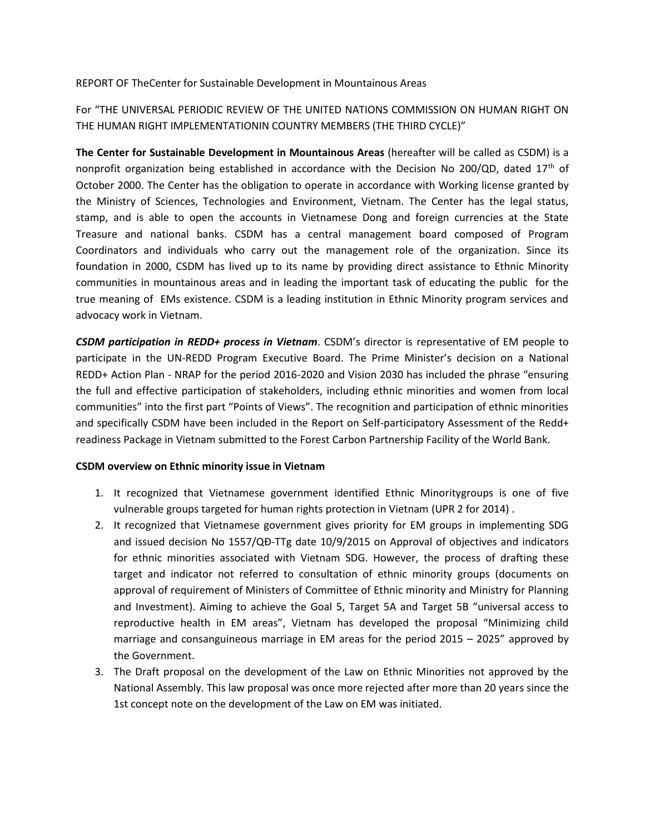## REPORT OF TheCenter for Sustainable Development in Mountainous Areas

For "THE UNIVERSAL PERIODIC REVIEW OF THE UNITED NATIONS COMMISSION ON HUMAN RIGHT ON THE HUMAN RIGHT IMPLEMENTATIONIN COUNTRY MEMBERS (THE THIRD CYCLE)"

**The Center for Sustainable Development in Mountainous Areas** (hereafter will be called as CSDM) is a nonprofit organization being established in accordance with the Decision No 200/QD, dated  $17<sup>th</sup>$  of October 2000. The Center has the obligation to operate in accordance with Working license granted by the Ministry of Sciences, Technologies and Environment, Vietnam. The Center has the legal status, stamp, and is able to open the accounts in Vietnamese Dong and foreign currencies at the State Treasure and national banks. CSDM has a central management board composed of Program Coordinators and individuals who carry out the management role of the organization. Since its foundation in 2000, CSDM has lived up to its name by providing direct assistance to Ethnic Minority communities in mountainous areas and in leading the important task of educating the public for the true meaning of EMs existence. CSDM is a leading institution in Ethnic Minority program services and advocacy work in Vietnam.

*CSDM participation in REDD+ process in Vietnam*. CSDM's director is representative of EM people to participate in the UN-REDD Program Executive Board. The Prime Minister's decision on a National REDD+ Action Plan - NRAP for the period 2016-2020 and Vision 2030 has included the phrase "ensuring the full and effective participation of stakeholders, including ethnic minorities and women from local communities" into the first part "Points of Views". The recognition and participation of ethnic minorities and specifically CSDM have been included in the Report on Self-participatory Assessment of the Redd+ readiness Package in Vietnam submitted to the Forest Carbon Partnership Facility of the World Bank.

## **CSDM overview on Ethnic minority issue in Vietnam**

- 1. It recognized that Vietnamese government identified Ethnic Minoritygroups is one of five vulnerable groups targeted for human rights protection in Vietnam (UPR 2 for 2014) .
- 2. It recognized that Vietnamese government gives priority for EM groups in implementing SDG and issued decision No 1557/QĐ-TTg date 10/9/2015 on Approval of objectives and indicators for ethnic minorities associated with Vietnam SDG. However, the process of drafting these target and indicator not referred to consultation of ethnic minority groups (documents on approval of requirement of Ministers of Committee of Ethnic minority and Ministry for Planning and Investment). Aiming to achieve the Goal 5, Target 5A and Target 5B "universal access to reproductive health in EM areas", Vietnam has developed the proposal "Minimizing child marriage and consanguineous marriage in EM areas for the period 2015 – 2025" approved by the Government.
- 3. The Draft proposal on the development of the Law on Ethnic Minorities not approved by the National Assembly. This law proposal was once more rejected after more than 20 years since the 1st concept note on the development of the Law on EM was initiated.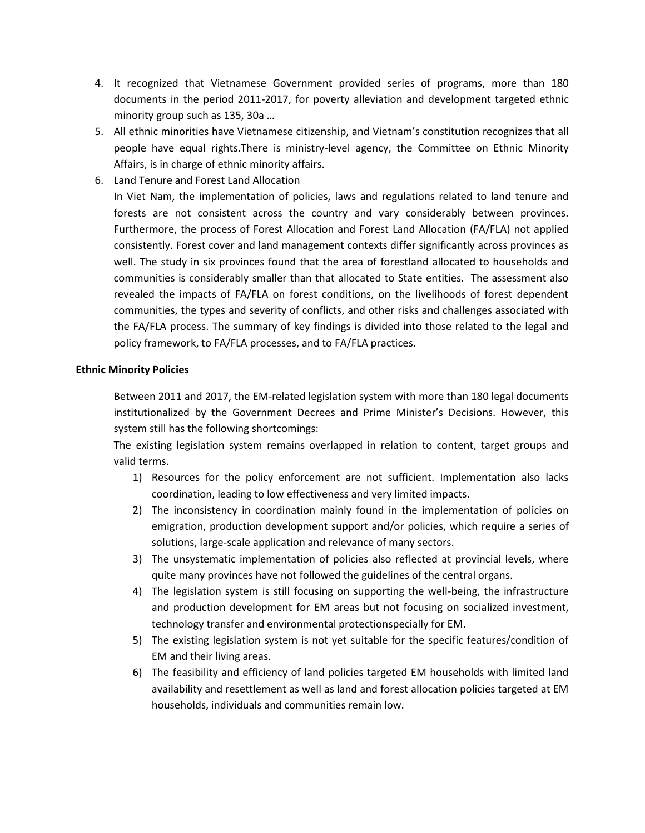- 4. It recognized that Vietnamese Government provided series of programs, more than 180 documents in the period 2011-2017, for poverty alleviation and development targeted ethnic minority group such as 135, 30a …
- 5. All ethnic minorities have Vietnamese citizenship, and Vietnam's constitution recognizes that all people have equal rights.There is ministry-level agency, the Committee on Ethnic Minority Affairs, is in charge of ethnic minority affairs.
- 6. Land Tenure and Forest Land Allocation

In Viet Nam, the implementation of policies, laws and regulations related to land tenure and forests are not consistent across the country and vary considerably between provinces. Furthermore, the process of Forest Allocation and Forest Land Allocation (FA/FLA) not applied consistently. Forest cover and land management contexts differ significantly across provinces as well. The study in six provinces found that the area of forestland allocated to households and communities is considerably smaller than that allocated to State entities. The assessment also revealed the impacts of FA/FLA on forest conditions, on the livelihoods of forest dependent communities, the types and severity of conflicts, and other risks and challenges associated with the FA/FLA process. The summary of key findings is divided into those related to the legal and policy framework, to FA/FLA processes, and to FA/FLA practices.

## **Ethnic Minority Policies**

Between 2011 and 2017, the EM-related legislation system with more than 180 legal documents institutionalized by the Government Decrees and Prime Minister's Decisions. However, this system still has the following shortcomings:

The existing legislation system remains overlapped in relation to content, target groups and valid terms.

- 1) Resources for the policy enforcement are not sufficient. Implementation also lacks coordination, leading to low effectiveness and very limited impacts.
- 2) The inconsistency in coordination mainly found in the implementation of policies on emigration, production development support and/or policies, which require a series of solutions, large-scale application and relevance of many sectors.
- 3) The unsystematic implementation of policies also reflected at provincial levels, where quite many provinces have not followed the guidelines of the central organs.
- 4) The legislation system is still focusing on supporting the well-being, the infrastructure and production development for EM areas but not focusing on socialized investment, technology transfer and environmental protectionspecially for EM.
- 5) The existing legislation system is not yet suitable for the specific features/condition of EM and their living areas.
- 6) The feasibility and efficiency of land policies targeted EM households with limited land availability and resettlement as well as land and forest allocation policies targeted at EM households, individuals and communities remain low.